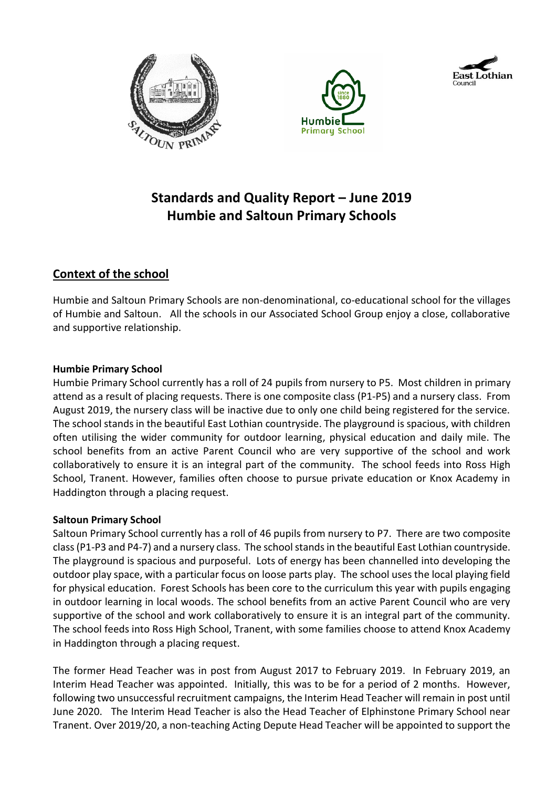





# **Standards and Quality Report – June 2019 Humbie and Saltoun Primary Schools**

# **Context of the school**

Humbie and Saltoun Primary Schools are non-denominational, co-educational school for the villages of Humbie and Saltoun. All the schools in our Associated School Group enjoy a close, collaborative and supportive relationship.

#### **Humbie Primary School**

Humbie Primary School currently has a roll of 24 pupils from nursery to P5. Most children in primary attend as a result of placing requests. There is one composite class (P1-P5) and a nursery class. From August 2019, the nursery class will be inactive due to only one child being registered for the service. The school stands in the beautiful East Lothian countryside. The playground is spacious, with children often utilising the wider community for outdoor learning, physical education and daily mile. The school benefits from an active Parent Council who are very supportive of the school and work collaboratively to ensure it is an integral part of the community. The school feeds into Ross High School, Tranent. However, families often choose to pursue private education or Knox Academy in Haddington through a placing request.

#### **Saltoun Primary School**

Saltoun Primary School currently has a roll of 46 pupils from nursery to P7. There are two composite class(P1-P3 and P4-7) and a nursery class. The school stands in the beautiful East Lothian countryside. The playground is spacious and purposeful. Lots of energy has been channelled into developing the outdoor play space, with a particular focus on loose parts play. The school uses the local playing field for physical education. Forest Schools has been core to the curriculum this year with pupils engaging in outdoor learning in local woods. The school benefits from an active Parent Council who are very supportive of the school and work collaboratively to ensure it is an integral part of the community. The school feeds into Ross High School, Tranent, with some families choose to attend Knox Academy in Haddington through a placing request.

The former Head Teacher was in post from August 2017 to February 2019. In February 2019, an Interim Head Teacher was appointed. Initially, this was to be for a period of 2 months. However, following two unsuccessful recruitment campaigns, the Interim Head Teacher will remain in post until June 2020. The Interim Head Teacher is also the Head Teacher of Elphinstone Primary School near Tranent. Over 2019/20, a non-teaching Acting Depute Head Teacher will be appointed to support the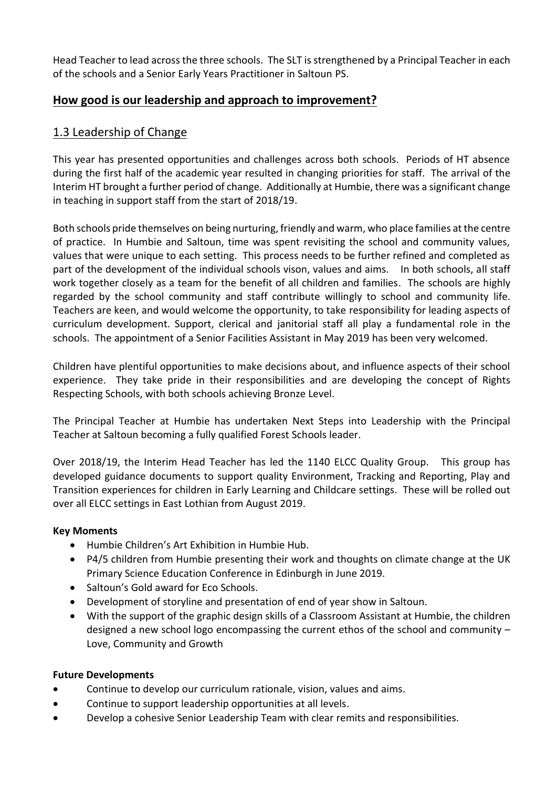Head Teacher to lead across the three schools. The SLT is strengthened by a Principal Teacher in each of the schools and a Senior Early Years Practitioner in Saltoun PS.

# **How good is our leadership and approach to improvement?**

## 1.3 Leadership of Change

This year has presented opportunities and challenges across both schools. Periods of HT absence during the first half of the academic year resulted in changing priorities for staff. The arrival of the Interim HT brought a further period of change. Additionally at Humbie, there was a significant change in teaching in support staff from the start of 2018/19.

Both schools pride themselves on being nurturing, friendly and warm, who place families at the centre of practice. In Humbie and Saltoun, time was spent revisiting the school and community values, values that were unique to each setting. This process needs to be further refined and completed as part of the development of the individual schools vison, values and aims. In both schools, all staff work together closely as a team for the benefit of all children and families. The schools are highly regarded by the school community and staff contribute willingly to school and community life. Teachers are keen, and would welcome the opportunity, to take responsibility for leading aspects of curriculum development. Support, clerical and janitorial staff all play a fundamental role in the schools. The appointment of a Senior Facilities Assistant in May 2019 has been very welcomed.

Children have plentiful opportunities to make decisions about, and influence aspects of their school experience. They take pride in their responsibilities and are developing the concept of Rights Respecting Schools, with both schools achieving Bronze Level.

The Principal Teacher at Humbie has undertaken Next Steps into Leadership with the Principal Teacher at Saltoun becoming a fully qualified Forest Schools leader.

Over 2018/19, the Interim Head Teacher has led the 1140 ELCC Quality Group. This group has developed guidance documents to support quality Environment, Tracking and Reporting, Play and Transition experiences for children in Early Learning and Childcare settings. These will be rolled out over all ELCC settings in East Lothian from August 2019.

#### **Key Moments**

- Humbie Children's Art Exhibition in Humbie Hub.
- P4/5 children from Humbie presenting their work and thoughts on climate change at the UK Primary Science Education Conference in Edinburgh in June 2019.
- Saltoun's Gold award for Eco Schools.
- Development of storyline and presentation of end of year show in Saltoun.
- With the support of the graphic design skills of a Classroom Assistant at Humbie, the children designed a new school logo encompassing the current ethos of the school and community – Love, Community and Growth

#### **Future Developments**

- Continue to develop our curriculum rationale, vision, values and aims.
- Continue to support leadership opportunities at all levels.
- Develop a cohesive Senior Leadership Team with clear remits and responsibilities.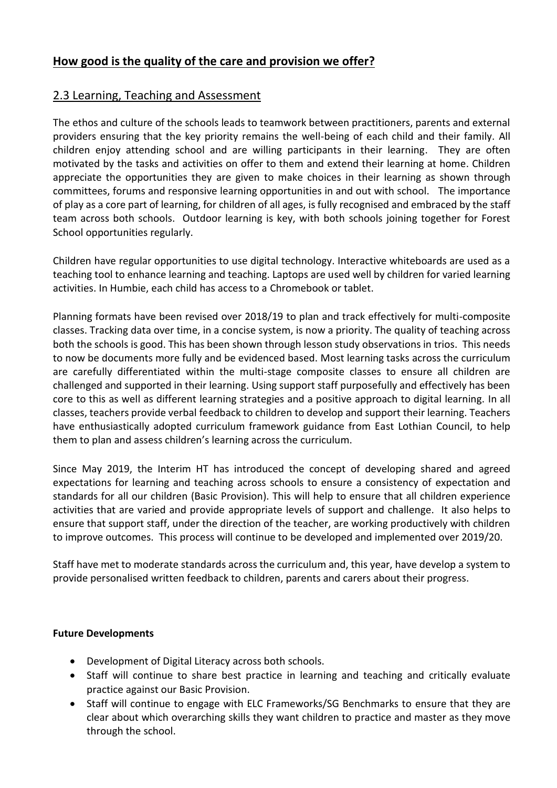# **How good is the quality of the care and provision we offer?**

## 2.3 Learning, Teaching and Assessment

The ethos and culture of the schools leads to teamwork between practitioners, parents and external providers ensuring that the key priority remains the well-being of each child and their family. All children enjoy attending school and are willing participants in their learning. They are often motivated by the tasks and activities on offer to them and extend their learning at home. Children appreciate the opportunities they are given to make choices in their learning as shown through committees, forums and responsive learning opportunities in and out with school. The importance of play as a core part of learning, for children of all ages, is fully recognised and embraced by the staff team across both schools. Outdoor learning is key, with both schools joining together for Forest School opportunities regularly.

Children have regular opportunities to use digital technology. Interactive whiteboards are used as a teaching tool to enhance learning and teaching. Laptops are used well by children for varied learning activities. In Humbie, each child has access to a Chromebook or tablet.

Planning formats have been revised over 2018/19 to plan and track effectively for multi-composite classes. Tracking data over time, in a concise system, is now a priority. The quality of teaching across both the schools is good. This has been shown through lesson study observations in trios. This needs to now be documents more fully and be evidenced based. Most learning tasks across the curriculum are carefully differentiated within the multi-stage composite classes to ensure all children are challenged and supported in their learning. Using support staff purposefully and effectively has been core to this as well as different learning strategies and a positive approach to digital learning. In all classes, teachers provide verbal feedback to children to develop and support their learning. Teachers have enthusiastically adopted curriculum framework guidance from East Lothian Council, to help them to plan and assess children's learning across the curriculum.

Since May 2019, the Interim HT has introduced the concept of developing shared and agreed expectations for learning and teaching across schools to ensure a consistency of expectation and standards for all our children (Basic Provision). This will help to ensure that all children experience activities that are varied and provide appropriate levels of support and challenge. It also helps to ensure that support staff, under the direction of the teacher, are working productively with children to improve outcomes. This process will continue to be developed and implemented over 2019/20.

Staff have met to moderate standards across the curriculum and, this year, have develop a system to provide personalised written feedback to children, parents and carers about their progress.

#### **Future Developments**

- Development of Digital Literacy across both schools.
- Staff will continue to share best practice in learning and teaching and critically evaluate practice against our Basic Provision.
- Staff will continue to engage with ELC Frameworks/SG Benchmarks to ensure that they are clear about which overarching skills they want children to practice and master as they move through the school.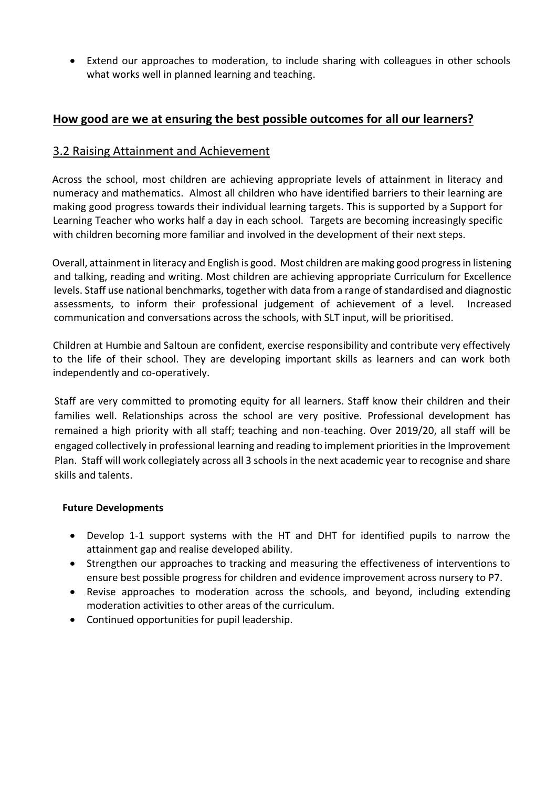Extend our approaches to moderation, to include sharing with colleagues in other schools what works well in planned learning and teaching.

## **How good are we at ensuring the best possible outcomes for all our learners?**

## 3.2 Raising Attainment and Achievement

Across the school, most children are achieving appropriate levels of attainment in literacy and numeracy and mathematics. Almost all children who have identified barriers to their learning are making good progress towards their individual learning targets. This is supported by a Support for Learning Teacher who works half a day in each school. Targets are becoming increasingly specific with children becoming more familiar and involved in the development of their next steps.

Overall, attainment in literacy and English is good. Most children are making good progress in listening and talking, reading and writing. Most children are achieving appropriate Curriculum for Excellence levels. Staff use national benchmarks, together with data from a range of standardised and diagnostic assessments, to inform their professional judgement of achievement of a level. Increased communication and conversations across the schools, with SLT input, will be prioritised.

Children at Humbie and Saltoun are confident, exercise responsibility and contribute very effectively to the life of their school. They are developing important skills as learners and can work both independently and co-operatively.

Staff are very committed to promoting equity for all learners. Staff know their children and their families well. Relationships across the school are very positive. Professional development has remained a high priority with all staff; teaching and non-teaching. Over 2019/20, all staff will be engaged collectively in professional learning and reading to implement priorities in the Improvement Plan. Staff will work collegiately across all 3 schools in the next academic year to recognise and share skills and talents.

#### **Future Developments**

- Develop 1-1 support systems with the HT and DHT for identified pupils to narrow the attainment gap and realise developed ability.
- Strengthen our approaches to tracking and measuring the effectiveness of interventions to ensure best possible progress for children and evidence improvement across nursery to P7.
- Revise approaches to moderation across the schools, and beyond, including extending moderation activities to other areas of the curriculum.
- Continued opportunities for pupil leadership.